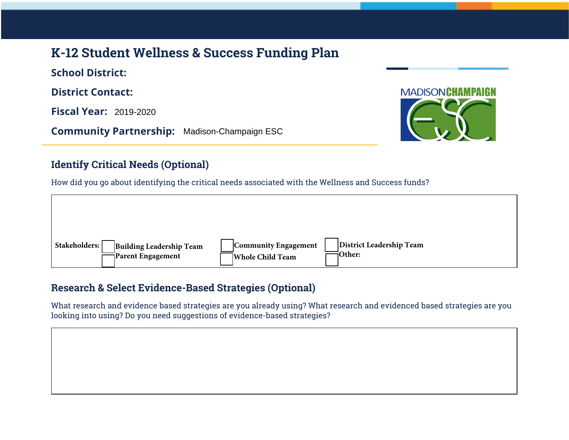# **K-12 Student Wellness & Success Funding Plan**

**School District: District Contact: Fiscal Year:** 2019-2020

**Community Partnership:** Madison-Champaign ESC



### **Identify Critical Needs (Optional)**

How did you go about identifying the critical needs associated with the Wellness and Success funds?



### **Research & Select Evidence-Based Strategies (Optional)**

What research and evidence based strategies are you already using? What research and evidenced based strategies are you looking into using? Do you need suggestions of evidence-based strategies?

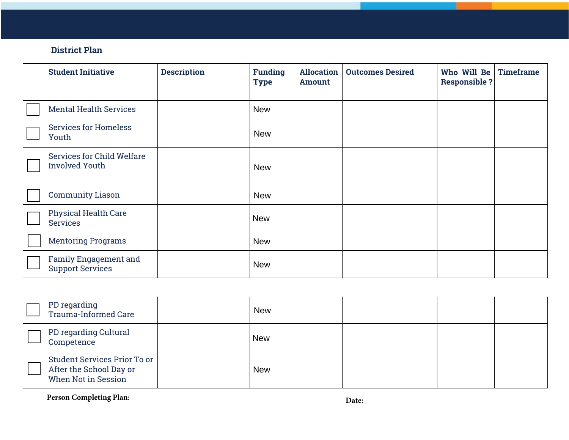### **District Plan**

| <b>Student Initiative</b>                                                      | <b>Description</b> | <b>Funding</b><br><b>Type</b> | <b>Allocation</b><br><b>Amount</b> | <b>Outcomes Desired</b> | Who Will Be<br><b>Responsible ?</b> | <b>Timeframe</b> |
|--------------------------------------------------------------------------------|--------------------|-------------------------------|------------------------------------|-------------------------|-------------------------------------|------------------|
| <b>Mental Health Services</b>                                                  |                    | <b>New</b>                    |                                    |                         |                                     |                  |
| <b>Services for Homeless</b><br>Youth                                          |                    | <b>New</b>                    |                                    |                         |                                     |                  |
| Services for Child Welfare<br><b>Involved Youth</b>                            |                    | <b>New</b>                    |                                    |                         |                                     |                  |
| <b>Community Liason</b>                                                        |                    | <b>New</b>                    |                                    |                         |                                     |                  |
| <b>Physical Health Care</b><br><b>Services</b>                                 |                    | <b>New</b>                    |                                    |                         |                                     |                  |
| <b>Mentoring Programs</b>                                                      |                    | <b>New</b>                    |                                    |                         |                                     |                  |
| Family Engagement and<br><b>Support Services</b>                               |                    | <b>New</b>                    |                                    |                         |                                     |                  |
|                                                                                |                    |                               |                                    |                         |                                     |                  |
| PD regarding<br><b>Trauma-Informed Care</b>                                    |                    | <b>New</b>                    |                                    |                         |                                     |                  |
| PD regarding Cultural<br>Competence                                            |                    | <b>New</b>                    |                                    |                         |                                     |                  |
| Student Services Prior To or<br>After the School Day or<br>When Not in Session |                    | <b>New</b>                    |                                    |                         |                                     |                  |

Person Completing Plan: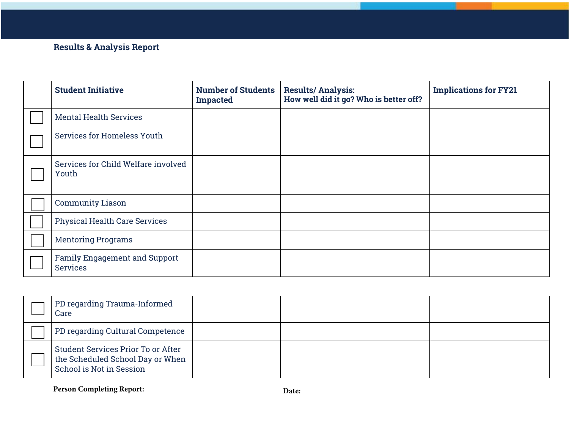## **Results & Analysis Report**

| <b>Student Initiative</b>                               | <b>Number of Students</b><br><b>Impacted</b> | <b>Results/Analysis:</b><br>How well did it go? Who is better off? | <b>Implications for FY21</b> |
|---------------------------------------------------------|----------------------------------------------|--------------------------------------------------------------------|------------------------------|
| <b>Mental Health Services</b>                           |                                              |                                                                    |                              |
| Services for Homeless Youth                             |                                              |                                                                    |                              |
| Services for Child Welfare involved<br>Youth            |                                              |                                                                    |                              |
| <b>Community Liason</b>                                 |                                              |                                                                    |                              |
| <b>Physical Health Care Services</b>                    |                                              |                                                                    |                              |
| <b>Mentoring Programs</b>                               |                                              |                                                                    |                              |
| <b>Family Engagement and Support</b><br><b>Services</b> |                                              |                                                                    |                              |

| PD regarding Trauma-Informed<br>Care                                                               |  |  |
|----------------------------------------------------------------------------------------------------|--|--|
| PD regarding Cultural Competence                                                                   |  |  |
| Student Services Prior To or After<br>the Scheduled School Day or When<br>School is Not in Session |  |  |

Person Completing Report: